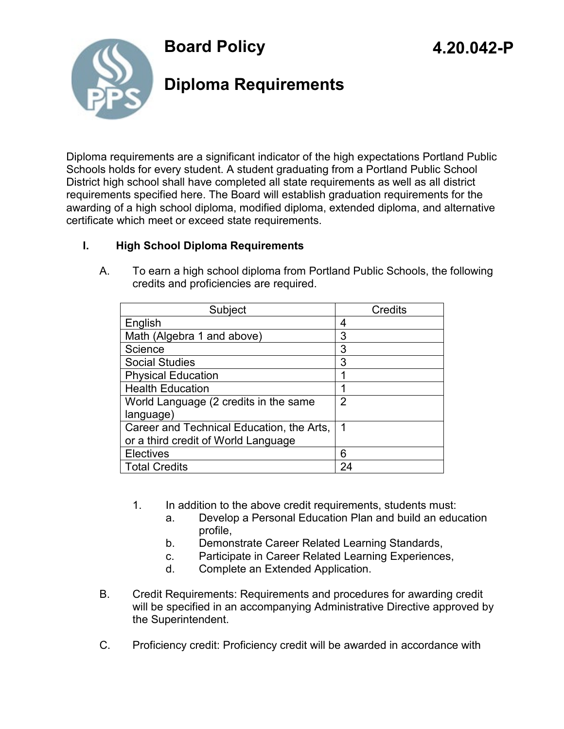



# **Diploma Requirements**

Diploma requirements are a significant indicator of the high expectations Portland Public Schools holds for every student. A student graduating from a Portland Public School District high school shall have completed all state requirements as well as all district requirements specified here. The Board will establish graduation requirements for the awarding of a high school diploma, modified diploma, extended diploma, and alternative certificate which meet or exceed state requirements.

#### **I. High School Diploma Requirements**

| Subject                                   | Credits        |
|-------------------------------------------|----------------|
| English                                   | 4              |
| Math (Algebra 1 and above)                | 3              |
| Science                                   | 3              |
| <b>Social Studies</b>                     | 3              |
| <b>Physical Education</b>                 |                |
| <b>Health Education</b>                   |                |
| World Language (2 credits in the same     | $\overline{2}$ |
| language)                                 |                |
| Career and Technical Education, the Arts, | 1              |
| or a third credit of World Language       |                |
| <b>Electives</b>                          | 6              |
| <b>Total Credits</b>                      | 24             |

A. To earn a high school diploma from Portland Public Schools, the following credits and proficiencies are required.

- 1. In addition to the above credit requirements, students must:
	- a. Develop a Personal Education Plan and build an education profile,
	- b. Demonstrate Career Related Learning Standards,
	- c. Participate in Career Related Learning Experiences,
	- d. Complete an Extended Application.
- B. Credit Requirements: Requirements and procedures for awarding credit will be specified in an accompanying Administrative Directive approved by the Superintendent.
- C. Proficiency credit: Proficiency credit will be awarded in accordance with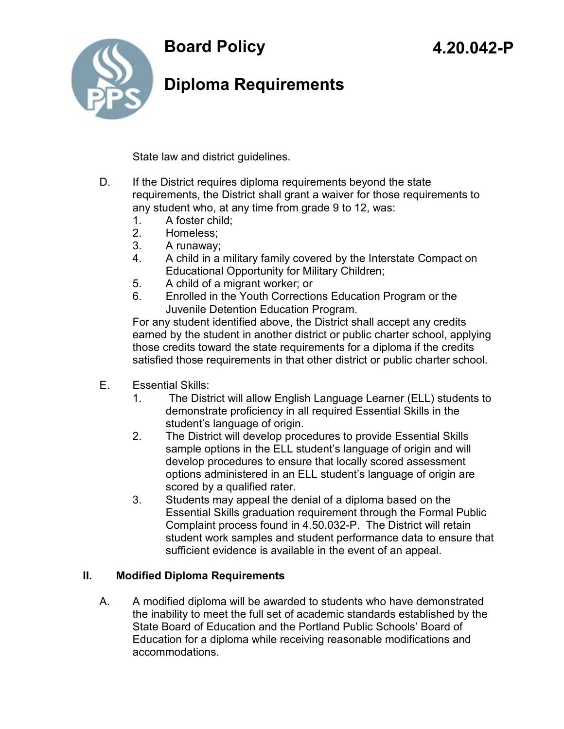



# **Diploma Requirements**

State law and district guidelines.

- D. If the District requires diploma requirements beyond the state requirements, the District shall grant a waiver for those requirements to any student who, at any time from grade 9 to 12, was:
	- 1. A foster child;
	- 2. Homeless;
	- 3. A runaway;
	- 4. A child in a military family covered by the Interstate Compact on Educational Opportunity for Military Children;
	- 5. A child of a migrant worker; or
	- 6. Enrolled in the Youth Corrections Education Program or the Juvenile Detention Education Program.

For any student identified above, the District shall accept any credits earned by the student in another district or public charter school, applying those credits toward the state requirements for a diploma if the credits satisfied those requirements in that other district or public charter school.

- E. Essential Skills:
	- 1. The District will allow English Language Learner (ELL) students to demonstrate proficiency in all required Essential Skills in the student's language of origin.
	- 2. The District will develop procedures to provide Essential Skills sample options in the ELL student's language of origin and will develop procedures to ensure that locally scored assessment options administered in an ELL student's language of origin are scored by a qualified rater.
	- 3. Students may appeal the denial of a diploma based on the Essential Skills graduation requirement through the Formal Public Complaint process found in 4.50.032-P. The District will retain student work samples and student performance data to ensure that sufficient evidence is available in the event of an appeal.

### **II. Modified Diploma Requirements**

A. A modified diploma will be awarded to students who have demonstrated the inability to meet the full set of academic standards established by the State Board of Education and the Portland Public Schools' Board of Education for a diploma while receiving reasonable modifications and accommodations.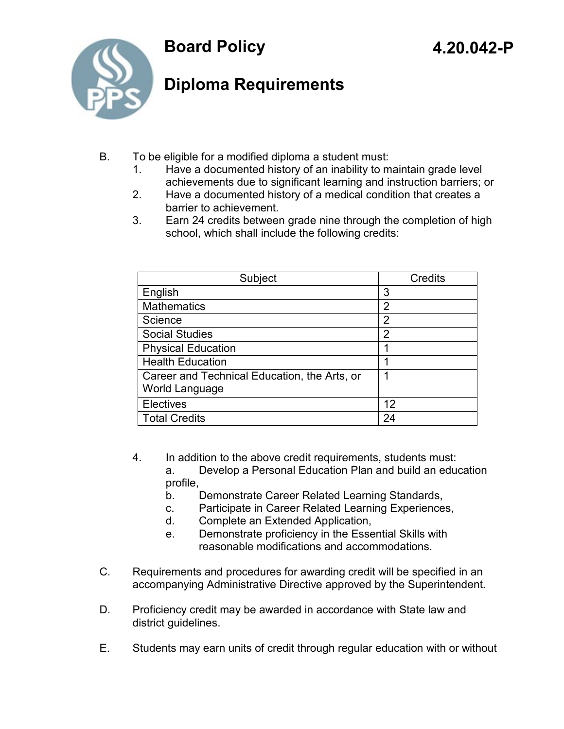



# **Diploma Requirements**

- B. To be eligible for a modified diploma a student must:
	- 1. Have a documented history of an inability to maintain grade level achievements due to significant learning and instruction barriers; or
	- 2. Have a documented history of a medical condition that creates a barrier to achievement.
	- 3. Earn 24 credits between grade nine through the completion of high school, which shall include the following credits:

| Subject                                                        | Credits        |
|----------------------------------------------------------------|----------------|
| English                                                        | 3              |
| <b>Mathematics</b>                                             | $\overline{2}$ |
| Science                                                        | 2              |
| <b>Social Studies</b>                                          | 2              |
| <b>Physical Education</b>                                      |                |
| <b>Health Education</b>                                        | 1              |
| Career and Technical Education, the Arts, or<br>World Language | 1              |
| <b>Electives</b>                                               | 12             |
| <b>Total Credits</b>                                           | 24             |

- 4. In addition to the above credit requirements, students must: a. Develop a Personal Education Plan and build an education profile,
	- b. Demonstrate Career Related Learning Standards,
	- c. Participate in Career Related Learning Experiences,
	- d. Complete an Extended Application,
	- e. Demonstrate proficiency in the Essential Skills with reasonable modifications and accommodations.
- C. Requirements and procedures for awarding credit will be specified in an accompanying Administrative Directive approved by the Superintendent.
- D. Proficiency credit may be awarded in accordance with State law and district guidelines.
- E. Students may earn units of credit through regular education with or without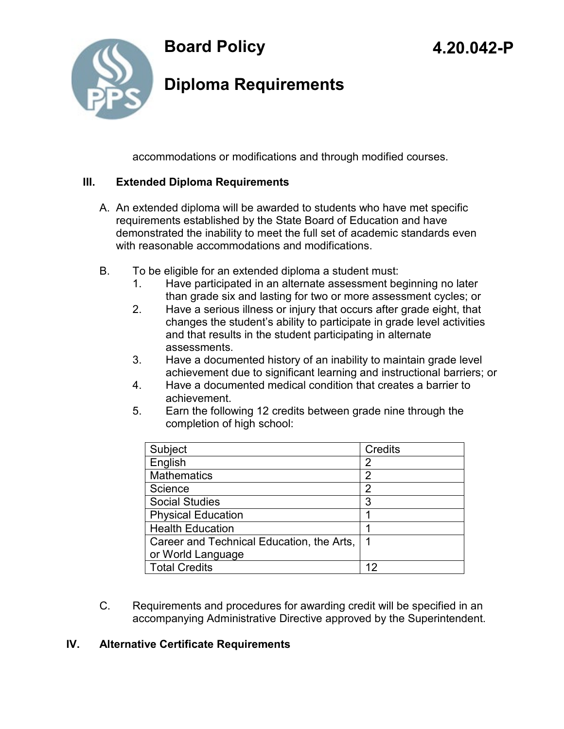

# **Diploma Requirements**

accommodations or modifications and through modified courses.

#### **III. Extended Diploma Requirements**

- A. An extended diploma will be awarded to students who have met specific requirements established by the State Board of Education and have demonstrated the inability to meet the full set of academic standards even with reasonable accommodations and modifications.
- B. To be eligible for an extended diploma a student must:
	- 1. Have participated in an alternate assessment beginning no later than grade six and lasting for two or more assessment cycles; or
	- 2. Have a serious illness or injury that occurs after grade eight, that changes the student's ability to participate in grade level activities and that results in the student participating in alternate assessments.
	- 3. Have a documented history of an inability to maintain grade level achievement due to significant learning and instructional barriers; or
	- 4. Have a documented medical condition that creates a barrier to achievement.
	- 5. Earn the following 12 credits between grade nine through the completion of high school:

| Subject                                   | <b>Credits</b> |
|-------------------------------------------|----------------|
| English                                   | 2              |
| <b>Mathematics</b>                        | 2              |
| Science                                   | 2              |
| <b>Social Studies</b>                     | 3              |
| <b>Physical Education</b>                 |                |
| <b>Health Education</b>                   |                |
| Career and Technical Education, the Arts, |                |
| or World Language                         |                |
| <b>Total Credits</b>                      |                |

C. Requirements and procedures for awarding credit will be specified in an accompanying Administrative Directive approved by the Superintendent.

#### **IV. Alternative Certificate Requirements**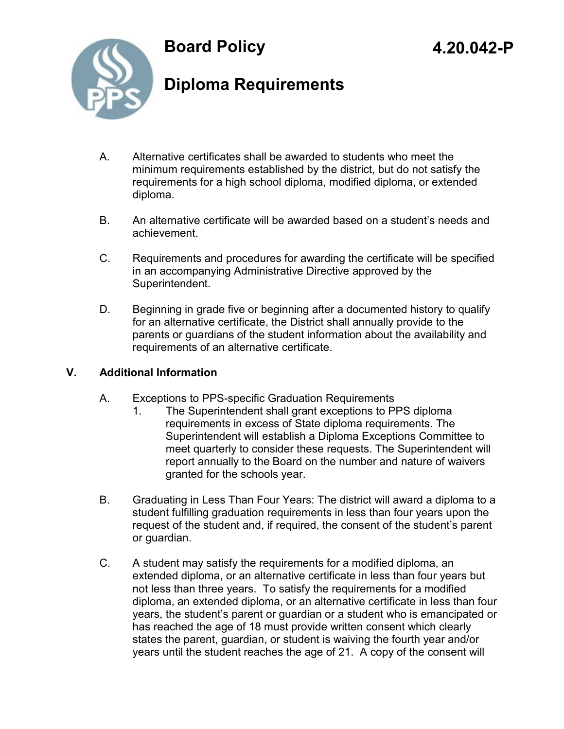



# **Diploma Requirements**

- A. Alternative certificates shall be awarded to students who meet the minimum requirements established by the district, but do not satisfy the requirements for a high school diploma, modified diploma, or extended diploma.
- B. An alternative certificate will be awarded based on a student's needs and achievement.
- C. Requirements and procedures for awarding the certificate will be specified in an accompanying Administrative Directive approved by the Superintendent.
- D. Beginning in grade five or beginning after a documented history to qualify for an alternative certificate, the District shall annually provide to the parents or guardians of the student information about the availability and requirements of an alternative certificate.

#### **V. Additional Information**

- A. Exceptions to PPS-specific Graduation Requirements
	- 1. The Superintendent shall grant exceptions to PPS diploma requirements in excess of State diploma requirements. The Superintendent will establish a Diploma Exceptions Committee to meet quarterly to consider these requests. The Superintendent will report annually to the Board on the number and nature of waivers granted for the schools year.
- B. Graduating in Less Than Four Years: The district will award a diploma to a student fulfilling graduation requirements in less than four years upon the request of the student and, if required, the consent of the student's parent or guardian.
- C. A student may satisfy the requirements for a modified diploma, an extended diploma, or an alternative certificate in less than four years but not less than three years. To satisfy the requirements for a modified diploma, an extended diploma, or an alternative certificate in less than four years, the student's parent or guardian or a student who is emancipated or has reached the age of 18 must provide written consent which clearly states the parent, guardian, or student is waiving the fourth year and/or years until the student reaches the age of 21. A copy of the consent will